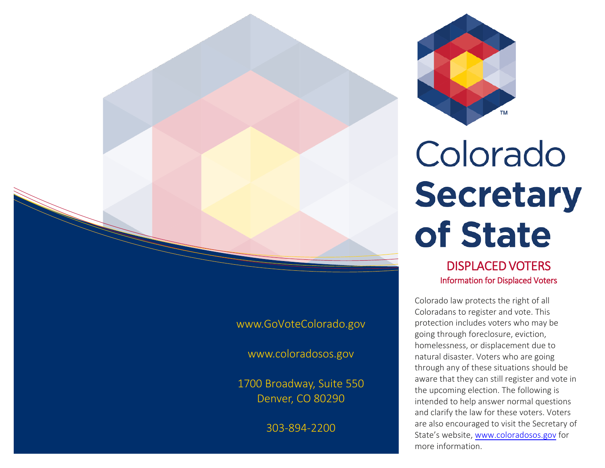

Colorado **Secretary** of State

> DISPLACED VOTERS Information for Displaced Voters

Colorado law protects the right of all Coloradans to register and vote. This protection includes voters who may be going through foreclosure, eviction, homelessness, or displacement due to natural disaster. Voters who are going through any of these situations should be aware that they can still register and vote in the upcoming election. The following is intended to help answer normal questions and clarify the law for these voters. Voters are also encouraged to visit the Secretary of State's website, www.[coloradosos.gov](www.coloradosos.gov) for more information.

[www.GoVoteColorado.gov](http://www.GoVoteColorado.gov) 

www.[coloradosos.gov](www.coloradosos.gov)

1700 Broadway, Suite 550 Denver, CO 80290

303-894-2200